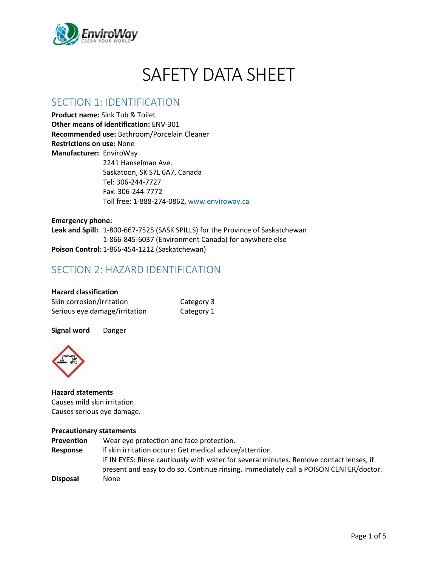

# SAFETY DATA SHEET

### SECTION 1: IDENTIFICATION

**Product name:** Sink Tub & Toilet **Other means of identification:** ENV-301 **Recommended use:** Bathroom/Porcelain Cleaner **Restrictions on use:** None **Manufacturer:** EnviroWay 2241 Hanselman Ave. Saskatoon, SK S7L 6A7, Canada Tel: 306-244-7727 Fax: 306-244-7772 Toll free: 1-888-274-0862, [www.enviroway.ca](http://www.enviroway.ca/)

**Emergency phone: Leak and Spill:** 1-800-667-7525 (SASK SPILLS) for the Province of Saskatchewan 1-866-845-6037 (Environment Canada) for anywhere else **Poison Control:** 1-866-454-1212 (Saskatchewan)

### SECTION 2: HAZARD IDENTIFICATION

| <b>Hazard classification</b>  |            |
|-------------------------------|------------|
| Skin corrosion/irritation     | Category 3 |
| Serious eye damage/irritation | Category 1 |

**Signal word** Danger



**Hazard statements** Causes mild skin irritation. Causes serious eye damage.

#### **Precautionary statements**

| <b>Prevention</b> | Wear eye protection and face protection.                                                                                                                                        |
|-------------------|---------------------------------------------------------------------------------------------------------------------------------------------------------------------------------|
| Response          | If skin irritation occurs: Get medical advice/attention.                                                                                                                        |
|                   | IF IN EYES: Rinse cautiously with water for several minutes. Remove contact lenses, if<br>present and easy to do so. Continue rinsing. Immediately call a POISON CENTER/doctor. |
|                   |                                                                                                                                                                                 |
| <b>Disposal</b>   | None                                                                                                                                                                            |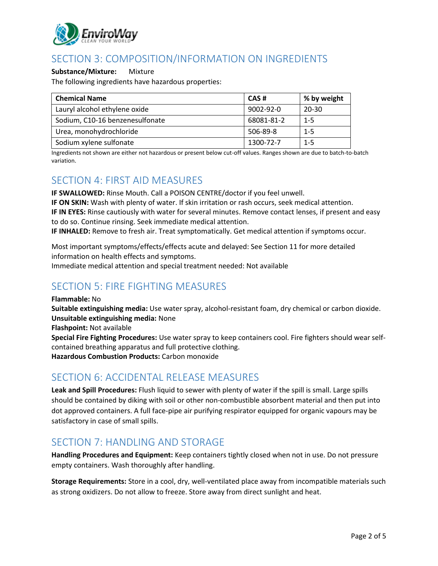

# SECTION 3: COMPOSITION/INFORMATION ON INGREDIENTS

#### **Substance/Mixture:** Mixture

The following ingredients have hazardous properties:

| <b>Chemical Name</b>            | CAS#            | % by weight |
|---------------------------------|-----------------|-------------|
| Lauryl alcohol ethylene oxide   | $9002 - 92 - 0$ | 20-30       |
| Sodium, C10-16 benzenesulfonate | 68081-81-2      | $1 - 5$     |
| Urea, monohydrochloride         | 506-89-8        | $1 - 5$     |
| Sodium xylene sulfonate         | 1300-72-7       | $1 - 5$     |

Ingredients not shown are either not hazardous or present below cut-off values. Ranges shown are due to batch-to-batch variation.

### SECTION 4: FIRST AID MEASURES

**IF SWALLOWED:** Rinse Mouth. Call a POISON CENTRE/doctor if you feel unwell. **IF ON SKIN:** Wash with plenty of water. If skin irritation or rash occurs, seek medical attention. **IF IN EYES:** Rinse cautiously with water for several minutes. Remove contact lenses, if present and easy to do so. Continue rinsing. Seek immediate medical attention.

**IF INHALED:** Remove to fresh air. Treat symptomatically. Get medical attention if symptoms occur.

Most important symptoms/effects/effects acute and delayed: See Section 11 for more detailed information on health effects and symptoms. Immediate medical attention and special treatment needed: Not available

# SECTION 5: FIRE FIGHTING MEASURES

**Flammable:** No

**Suitable extinguishing media:** Use water spray, alcohol-resistant foam, dry chemical or carbon dioxide. **Unsuitable extinguishing media:** None

**Flashpoint:** Not available

**Special Fire Fighting Procedures:** Use water spray to keep containers cool. Fire fighters should wear selfcontained breathing apparatus and full protective clothing. **Hazardous Combustion Products:** Carbon monoxide

### SECTION 6: ACCIDENTAL RELEASE MEASURES

**Leak and Spill Procedures:** Flush liquid to sewer with plenty of water if the spill is small. Large spills should be contained by diking with soil or other non-combustible absorbent material and then put into dot approved containers. A full face-pipe air purifying respirator equipped for organic vapours may be satisfactory in case of small spills.

### SECTION 7: HANDLING AND STORAGE

**Handling Procedures and Equipment:** Keep containers tightly closed when not in use. Do not pressure empty containers. Wash thoroughly after handling.

**Storage Requirements:** Store in a cool, dry, well-ventilated place away from incompatible materials such as strong oxidizers. Do not allow to freeze. Store away from direct sunlight and heat.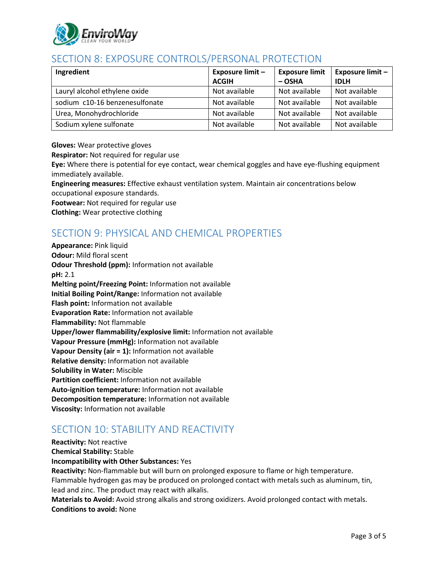

# SECTION 8: EXPOSURE CONTROLS/PERSONAL PROTECTION

| Ingredient                     | Exposure limit - | <b>Exposure limit</b> | <b>Exposure limit -</b> |
|--------------------------------|------------------|-----------------------|-------------------------|
|                                | <b>ACGIH</b>     | $-$ OSHA              | <b>IDLH</b>             |
| Lauryl alcohol ethylene oxide  | Not available    | Not available         | Not available           |
| sodium c10-16 benzenesulfonate | Not available    | Not available         | Not available           |
| Urea, Monohydrochloride        | Not available    | Not available         | Not available           |
| Sodium xylene sulfonate        | Not available    | Not available         | Not available           |

**Gloves:** Wear protective gloves

**Respirator:** Not required for regular use

**Eye:** Where there is potential for eye contact, wear chemical goggles and have eye-flushing equipment immediately available.

**Engineering measures:** Effective exhaust ventilation system. Maintain air concentrations below occupational exposure standards.

**Footwear:** Not required for regular use

**Clothing:** Wear protective clothing

# SECTION 9: PHYSICAL AND CHEMICAL PROPERTIES

**Appearance:** Pink liquid **Odour:** Mild floral scent **Odour Threshold (ppm):** Information not available **pH:** 2.1 **Melting point/Freezing Point:** Information not available **Initial Boiling Point/Range:** Information not available **Flash point:** Information not available **Evaporation Rate:** Information not available **Flammability:** Not flammable **Upper/lower flammability/explosive limit:** Information not available **Vapour Pressure (mmHg):** Information not available **Vapour Density (air = 1):** Information not available **Relative density:** Information not available **Solubility in Water:** Miscible **Partition coefficient:** Information not available **Auto-ignition temperature:** Information not available **Decomposition temperature:** Information not available **Viscosity:** Information not available

# SECTION 10: STABILITY AND REACTIVITY

**Reactivity:** Not reactive

**Chemical Stability:** Stable

#### **Incompatibility with Other Substances:** Yes

**Reactivity:** Non-flammable but will burn on prolonged exposure to flame or high temperature. Flammable hydrogen gas may be produced on prolonged contact with metals such as aluminum, tin, lead and zinc. The product may react with alkalis.

**Materials to Avoid:** Avoid strong alkalis and strong oxidizers. Avoid prolonged contact with metals. **Conditions to avoid:** None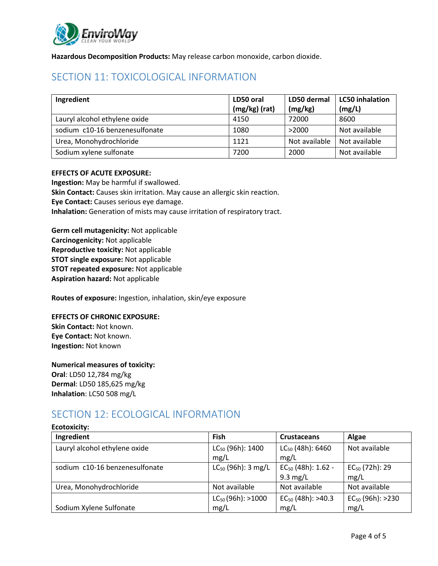

**Hazardous Decomposition Products:** May release carbon monoxide, carbon dioxide.

# SECTION 11: TOXICOLOGICAL INFORMATION

| Ingredient                     | LD50 oral       | LD50 dermal   | <b>LC50</b> inhalation |
|--------------------------------|-----------------|---------------|------------------------|
|                                | $(mg/kg)$ (rat) | (mg/kg)       | (mg/L)                 |
| Lauryl alcohol ethylene oxide  | 4150            | 72000         | 8600                   |
| sodium c10-16 benzenesulfonate | 1080            | >2000         | Not available          |
| Urea, Monohydrochloride        | 1121            | Not available | Not available          |
| Sodium xylene sulfonate        | 7200            | 2000          | Not available          |

#### **EFFECTS OF ACUTE EXPOSURE:**

**Ingestion:** May be harmful if swallowed. **Skin Contact:** Causes skin irritation. May cause an allergic skin reaction. **Eye Contact:** Causes serious eye damage. **Inhalation:** Generation of mists may cause irritation of respiratory tract.

**Germ cell mutagenicity:** Not applicable **Carcinogenicity:** Not applicable **Reproductive toxicity:** Not applicable **STOT single exposure:** Not applicable **STOT repeated exposure:** Not applicable **Aspiration hazard:** Not applicable

**Routes of exposure:** Ingestion, inhalation, skin/eye exposure

#### **EFFECTS OF CHRONIC EXPOSURE:**

**Skin Contact:** Not known. **Eye Contact:** Not known. **Ingestion:** Not known

#### **Numerical measures of toxicity:**

**Oral**: LD50 12,784 mg/kg **Dermal**: LD50 185,625 mg/kg **Inhalation**: LC50 508 mg/L

### SECTION 12: ECOLOGICAL INFORMATION

| Ingredient                     | Fish                    | <b>Crustaceans</b>      | Algae                 |
|--------------------------------|-------------------------|-------------------------|-----------------------|
| Lauryl alcohol ethylene oxide  | $LC_{50}$ (96h): 1400   | $LC_{50}$ (48h): 6460   | Not available         |
|                                | mg/L                    | mg/L                    |                       |
| sodium c10-16 benzenesulfonate | $LC_{50}$ (96h): 3 mg/L | $EC_{50}$ (48h): 1.62 - | $EC_{50}$ (72h): 29   |
|                                |                         | $9.3 \text{ mg/L}$      | mg/L                  |
| Urea, Monohydrochloride        | Not available           | Not available           | Not available         |
|                                | $LC_{50}$ (96h): >1000  | $EC_{50}$ (48h): >40.3  | $EC_{50}$ (96h): >230 |
| Sodium Xylene Sulfonate        | mg/L                    | mg/L                    | mg/L                  |